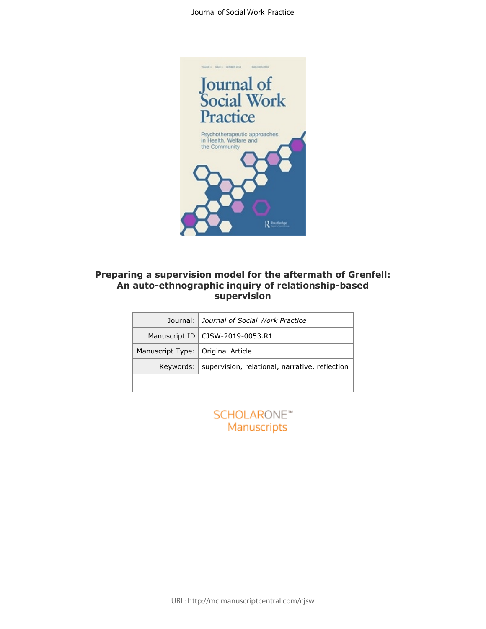

# **Preparing a supervision model for the aftermath of Grenfell: An auto-ethnographic inquiry of relationship-based supervision**

|                  | ng a supervision model for the aftermath of G<br>auto-ethnographic inquiry of relationship-bas<br>supervision |
|------------------|---------------------------------------------------------------------------------------------------------------|
| Journal:         | Journal of Social Work Practice                                                                               |
| Manuscript ID    | CJSW-2019-0053.R1                                                                                             |
| Manuscript Type: | Original Article                                                                                              |
| Keywords:        | supervision, relational, narrative, reflection                                                                |
|                  |                                                                                                               |
|                  | <b>SCHOLARONE™</b><br>Manuscripts                                                                             |

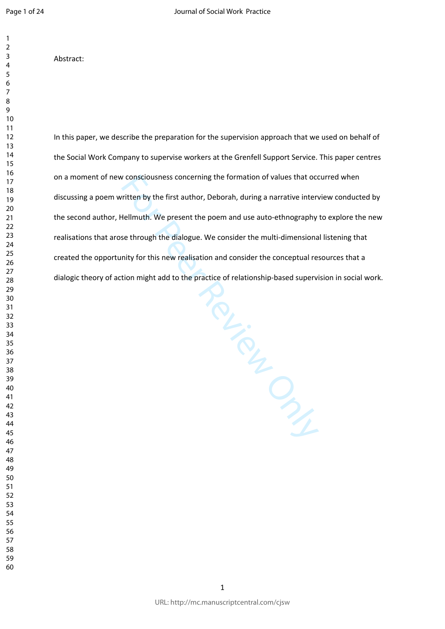Abstract:

In this paper, we describe the preparation for the supervision approach that we used on behalf of the Social Work Company to supervise workers at the Grenfell Support Service. This paper centres on a moment of new consciousness concerning the formation of values that occurred when discussing a poem written by the first author, Deborah, during a narrative interview conducted by the second author, Hellmuth. We present the poem and use auto-ethnography to explore the new realisations that arose through the dialogue. We consider the multi-dimensional listening that created the opportunity for this new realisation and consider the conceptual resources that a dialogic theory of action might add to the practice of relationship-based supervision in social work.

Review Only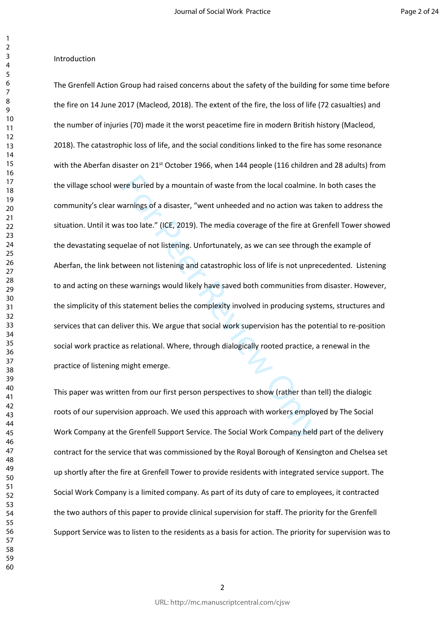# $\overline{2}$  $\overline{4}$  $\overline{7}$  $\mathsf{Q}$

 $\mathbf{1}$ 

### Introduction

ere buried by a mountain of waste from the local coalmine.<br>
rarnings of a disaster, "went unheeded and no action was to<br>
stoo late." (ICE, 2019). The media coverage of the fire at G<br>
uelae of not listening. Unfortunately, The Grenfell Action Group had raised concerns about the safety of the building for some time before the fire on 14 June 2017 (Macleod, 2018). The extent of the fire, the loss of life (72 casualties) and the number of injuries (70) made it the worst peacetime fire in modern British history (Macleod, 2018). The catastrophic loss of life, and the social conditions linked to the fire has some resonance with the Aberfan disaster on 21<sup>st</sup> October 1966, when 144 people (116 children and 28 adults) from the village school were buried by a mountain of waste from the local coalmine. In both cases the community's clear warnings of a disaster, "went unheeded and no action was taken to address the situation. Until it was too late." (ICE, 2019). The media coverage of the fire at Grenfell Tower showed the devastating sequelae of not listening. Unfortunately, as we can see through the example of Aberfan, the link between not listening and catastrophic loss of life is not unprecedented. Listening to and acting on these warnings would likely have saved both communities from disaster. However, the simplicity of this statement belies the complexity involved in producing systems, structures and services that can deliver this. We argue that social work supervision has the potential to re-position social work practice as relational. Where, through dialogically rooted practice, a renewal in the practice of listening might emerge.

This paper was written from our first person perspectives to show (rather than tell) the dialogic roots of our supervision approach. We used this approach with workers employed by The Social Work Company at the Grenfell Support Service. The Social Work Company held part of the delivery contract for the service that was commissioned by the Royal Borough of Kensington and Chelsea set up shortly after the fire at Grenfell Tower to provide residents with integrated service support. The Social Work Company is a limited company. As part of its duty of care to employees, it contracted the two authors of this paper to provide clinical supervision for staff. The priority for the Grenfell Support Service was to listen to the residents as a basis for action. The priority for supervision was to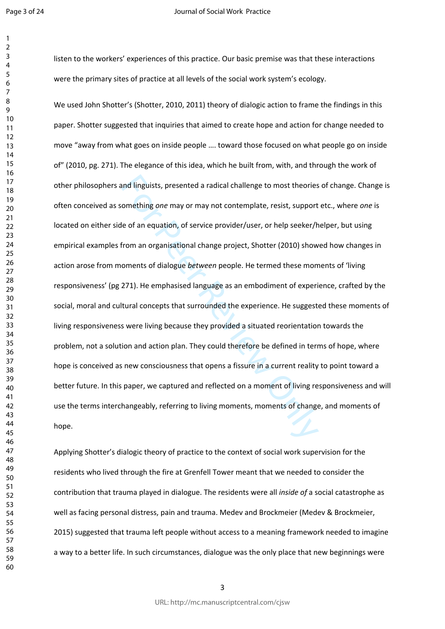Page 3 of 24

 $\mathbf{1}$ 

#### Journal of Social Work Practice

listen to the workers' experiences of this practice. Our basic premise was that these interactions were the primary sites of practice at all levels of the social work system's ecology.

and linguists, presented a radical challenge to most theories<br>omething one may or may not contemplate, resist, support<br>le of an equation, of service provider/user, or help seeker/h<br>from an organisational change project, Sh We used John Shotter's (Shotter, 2010, 2011) theory of dialogic action to frame the findings in this paper. Shotter suggested that inquiries that aimed to create hope and action for change needed to move "away from what goes on inside people …. toward those focused on what people go on inside of" (2010, pg. 271). The elegance of this idea, which he built from, with, and through the work of other philosophers and linguists, presented a radical challenge to most theories of change. Change is often conceived as something *one* may or may not contemplate, resist, support etc., where *one* is located on either side of an equation, of service provider/user, or help seeker/helper, but using empirical examples from an organisational change project, Shotter (2010) showed how changes in action arose from moments of dialogue *between* people. He termed these moments of 'living responsiveness' (pg 271). He emphasised language as an embodiment of experience, crafted by the social, moral and cultural concepts that surrounded the experience. He suggested these moments of living responsiveness were living because they provided a situated reorientation towards the problem, not a solution and action plan. They could therefore be defined in terms of hope, where hope is conceived as new consciousness that opens a fissure in a current reality to point toward a better future. In this paper, we captured and reflected on a moment of living responsiveness and will use the terms interchangeably, referring to living moments, moments of change, and moments of hope.

Applying Shotter's dialogic theory of practice to the context of social work supervision for the residents who lived through the fire at Grenfell Tower meant that we needed to consider the contribution that trauma played in dialogue. The residents were all *inside of* a social catastrophe as well as facing personal distress, pain and trauma. Medev and Brockmeier (Medev & Brockmeier, 2015) suggested that trauma left people without access to a meaning framework needed to imagine a way to a better life. In such circumstances, dialogue was the only place that new beginnings were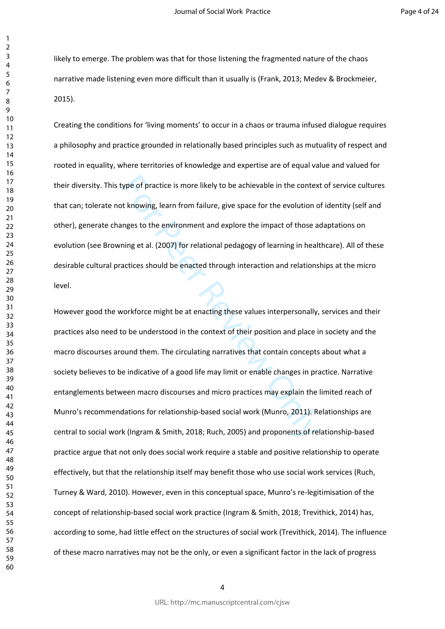likely to emerge. The problem was that for those listening the fragmented nature of the chaos narrative made listening even more difficult than it usually is (Frank, 2013; Medev & Brockmeier, 2015).

Creating the conditions for 'living moments' to occur in a chaos or trauma infused dialogue requires a philosophy and practice grounded in relationally based principles such as mutuality of respect and rooted in equality, where territories of knowledge and expertise are of equal value and valued for their diversity. This type of practice is more likely to be achievable in the context of service cultures that can; tolerate not knowing, learn from failure, give space for the evolution of identity (self and other), generate changes to the environment and explore the impact of those adaptations on evolution (see Browning et al. (2007) for relational pedagogy of learning in healthcare). All of these desirable cultural practices should be enacted through interaction and relationships at the micro level.

ype of practice is more likely to be achievable in the context thowing, learn from failure, give space for the evolution compes to the environment and explore the impact of those a<br>ning et al. (2007) for relational pedagog However good the workforce might be at enacting these values interpersonally, services and their practices also need to be understood in the context of their position and place in society and the macro discourses around them. The circulating narratives that contain concepts about what a society believes to be indicative of a good life may limit or enable changes in practice. Narrative entanglements between macro discourses and micro practices may explain the limited reach of Munro's recommendations for relationship-based social work (Munro, 2011). Relationships are central to social work (Ingram & Smith, 2018; Ruch, 2005) and proponents of relationship-based practice argue that not only does social work require a stable and positive relationship to operate effectively, but that the relationship itself may benefit those who use social work services (Ruch, Turney & Ward, 2010). However, even in this conceptual space, Munro's re-legitimisation of the concept of relationship-based social work practice (Ingram & Smith, 2018; Trevithick, 2014) has, according to some, had little effect on the structures of social work (Trevithick, 2014). The influence of these macro narratives may not be the only, or even a significant factor in the lack of progress

 $\mathbf{1}$  $\overline{2}$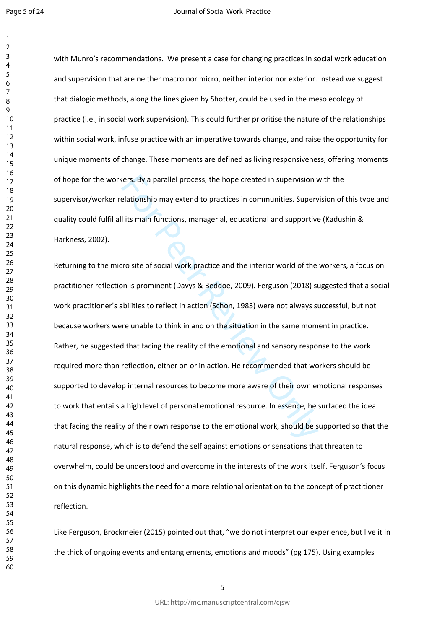with Munro's recommendations. We present a case for changing practices in social work education and supervision that are neither macro nor micro, neither interior nor exterior. Instead we suggest that dialogic methods, along the lines given by Shotter, could be used in the meso ecology of practice (i.e., in social work supervision). This could further prioritise the nature of the relationships within social work, infuse practice with an imperative towards change, and raise the opportunity for unique moments of change. These moments are defined as living responsiveness, offering moments of hope for the workers. By a parallel process, the hope created in supervision with the supervisor/worker relationship may extend to practices in communities. Supervision of this type and quality could fulfil all its main functions, managerial, educational and supportive (Kadushin & Harkness, 2002).

ters. By a parallel process, the hope created in supervision velationship may extend to practices in communities. Supervisits lits main functions, managerial, educational and supportive<br>It its main functions, managerial, e Returning to the micro site of social work practice and the interior world of the workers, a focus on practitioner reflection is prominent (Davys & Beddoe, 2009). Ferguson (2018) suggested that a social work practitioner's abilities to reflect in action (Schon, 1983) were not always successful, but not because workers were unable to think in and on the situation in the same moment in practice. Rather, he suggested that facing the reality of the emotional and sensory response to the work required more than reflection, either on or in action. He recommended that workers should be supported to develop internal resources to become more aware of their own emotional responses to work that entails a high level of personal emotional resource. In essence, he surfaced the idea that facing the reality of their own response to the emotional work, should be supported so that the natural response, which is to defend the self against emotions or sensations that threaten to overwhelm, could be understood and overcome in the interests of the work itself. Ferguson's focus on this dynamic highlights the need for a more relational orientation to the concept of practitioner reflection.

Like Ferguson, Brockmeier (2015) pointed out that, "we do not interpret our experience, but live it in the thick of ongoing events and entanglements, emotions and moods" (pg 175). Using examples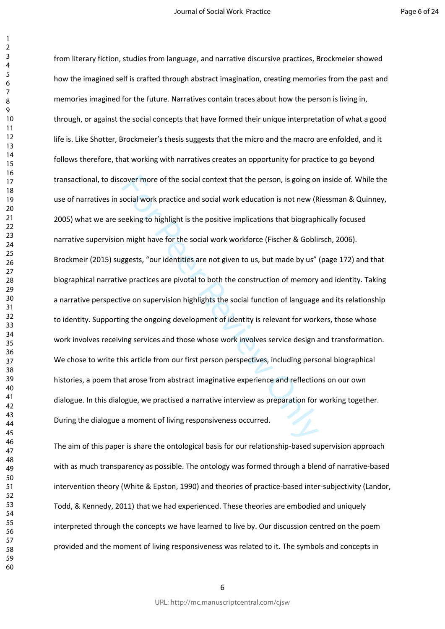$\mathbf{1}$  $\overline{2}$ 

rower more of the social context that the person, is going or<br>social work practice and social work education is not new (R<br>eeking to highlight is the positive implications that biograph<br>might have for the social work workf from literary fiction, studies from language, and narrative discursive practices, Brockmeier showed how the imagined self is crafted through abstract imagination, creating memories from the past and memories imagined for the future. Narratives contain traces about how the person is living in, through, or against the social concepts that have formed their unique interpretation of what a good life is. Like Shotter, Brockmeier's thesis suggests that the micro and the macro are enfolded, and it follows therefore, that working with narratives creates an opportunity for practice to go beyond transactional, to discover more of the social context that the person, is going on inside of. While the use of narratives in social work practice and social work education is not new (Riessman & Quinney, 2005) what we are seeking to highlight is the positive implications that biographically focused narrative supervision might have for the social work workforce (Fischer & Goblirsch, 2006). Brockmeir (2015) suggests, "our identities are not given to us, but made by us" (page 172) and that biographical narrative practices are pivotal to both the construction of memory and identity. Taking a narrative perspective on supervision highlights the social function of language and its relationship to identity. Supporting the ongoing development of identity is relevant for workers, those whose work involves receiving services and those whose work involves service design and transformation. We chose to write this article from our first person perspectives, including personal biographical histories, a poem that arose from abstract imaginative experience and reflections on our own dialogue. In this dialogue, we practised a narrative interview as preparation for working together. During the dialogue a moment of living responsiveness occurred.

The aim of this paper is share the ontological basis for our relationship-based supervision approach with as much transparency as possible. The ontology was formed through a blend of narrative-based intervention theory (White & Epston, 1990) and theories of practice-based inter-subjectivity (Landor, Todd, & Kennedy, 2011) that we had experienced. These theories are embodied and uniquely interpreted through the concepts we have learned to live by. Our discussion centred on the poem provided and the moment of living responsiveness was related to it. The symbols and concepts in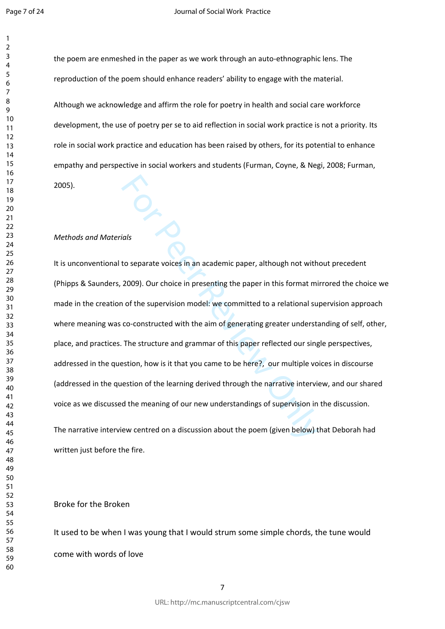the poem are enmeshed in the paper as we work through an auto-ethnographic lens. The reproduction of the poem should enhance readers' ability to engage with the material. Although we acknowledge and affirm the role for poetry in health and social care workforce development, the use of poetry per se to aid reflection in social work practice is not a priority. Its role in social work practice and education has been raised by others, for its potential to enhance

empathy and perspective in social workers and students (Furman, Coyne, & Negi, 2008; Furman,

2005).

### *Methods and Materials*

For Peer Review of the peer in this format have to separate voices in an academic paper, although not with 2009). Our choice in presenting the paper in this format min of the supervision model: we committed to a relational It is unconventional to separate voices in an academic paper, although not without precedent (Phipps & Saunders, 2009). Our choice in presenting the paper in this format mirrored the choice we made in the creation of the supervision model: we committed to a relational supervision approach where meaning was co-constructed with the aim of generating greater understanding of self, other, place, and practices. The structure and grammar of this paper reflected our single perspectives, addressed in the question, how is it that you came to be here?, our multiple voices in discourse (addressed in the question of the learning derived through the narrative interview, and our shared voice as we discussed the meaning of our new understandings of supervision in the discussion.

The narrative interview centred on a discussion about the poem (given below) that Deborah had written just before the fire.

Broke for the Broken

It used to be when I was young that I would strum some simple chords, the tune would come with words of love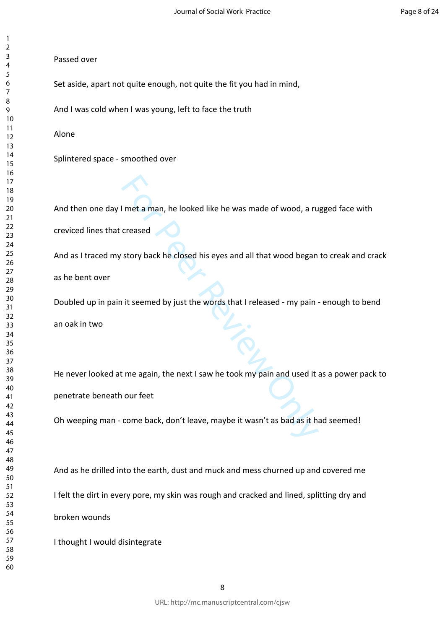# Passed over

Set aside, apart not quite enough, not quite the fit you had in mind,

And I was cold when I was young, left to face the truth

Alone

Splintered space - smoothed over

And then one day I met a man, he looked like he was made of wood, a rugged face with creviced lines that creased

And as I traced my story back he closed his eyes and all that wood began to creak and crack as he bent over

Doubled up in pain it seemed by just the words that I released - my pain - enough to bend an oak in two

I met a man, he looked like he was made of wood, a ru<br>creased<br>story back he closed his eyes and all that wood began<br>it seemed by just the words that I released - my pain<br>it seemed by just the words that I released - my pai He never looked at me again, the next I saw he took my pain and used it as a power pack to penetrate beneath our feet

Oh weeping man - come back, don't leave, maybe it wasn't as bad as it had seemed!

And as he drilled into the earth, dust and muck and mess churned up and covered me I felt the dirt in every pore, my skin was rough and cracked and lined, splitting dry and broken wounds

I thought I would disintegrate

 $\mathbf{1}$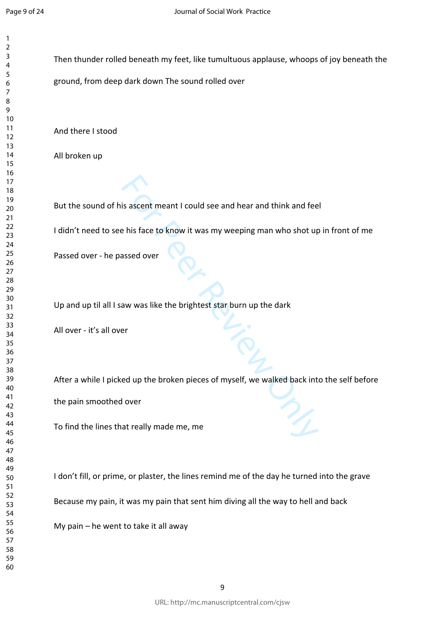Then thunder rolled beneath my feet, like tumultuous applause, whoops of joy beneath the

ground, from deep dark down The sound rolled over

And there I stood

All broken up

For Peer Review Only But the sound of his ascent meant I could see and hear and think and feel

I didn't need to see his face to know it was my weeping man who shot up in front of me

Passed over - he passed over

Up and up til all I saw was like the brightest star burn up the dark

All over - it's all over

After a while I picked up the broken pieces of myself, we walked back into the self before

the pain smoothed over

To find the lines that really made me, me

I don't fill, or prime, or plaster, the lines remind me of the day he turned into the grave

Because my pain, it was my pain that sent him diving all the way to hell and back

My pain – he went to take it all away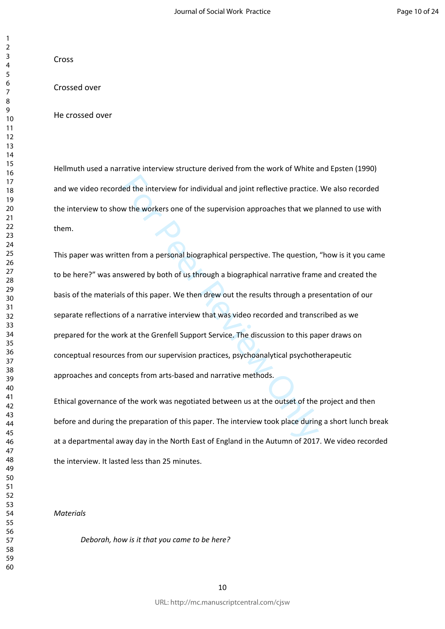# Cross

# Crossed over

He crossed over

Hellmuth used a narrative interview structure derived from the work of White and Epsten (1990) and we video recorded the interview for individual and joint reflective practice. We also recorded the interview to show the workers one of the supervision approaches that we planned to use with them.

led the interview for individual and joint reflective practice.<br>We the workers one of the supervision approaches that we p<br>en from a personal biographical perspective. The question,<br>swered by both of us through a biographi This paper was written from a personal biographical perspective. The question, "how is it you came to be here?" was answered by both of us through a biographical narrative frame and created the basis of the materials of this paper. We then drew out the results through a presentation of our separate reflections of a narrative interview that was video recorded and transcribed as we prepared for the work at the Grenfell Support Service. The discussion to this paper draws on conceptual resources from our supervision practices, psychoanalytical psychotherapeutic approaches and concepts from arts-based and narrative methods.

Ethical governance of the work was negotiated between us at the outset of the project and then before and during the preparation of this paper. The interview took place during a short lunch break at a departmental away day in the North East of England in the Autumn of 2017. We video recorded the interview. It lasted less than 25 minutes.

*Materials*

*Deborah, how is it that you came to be here?* 

 $\mathbf{1}$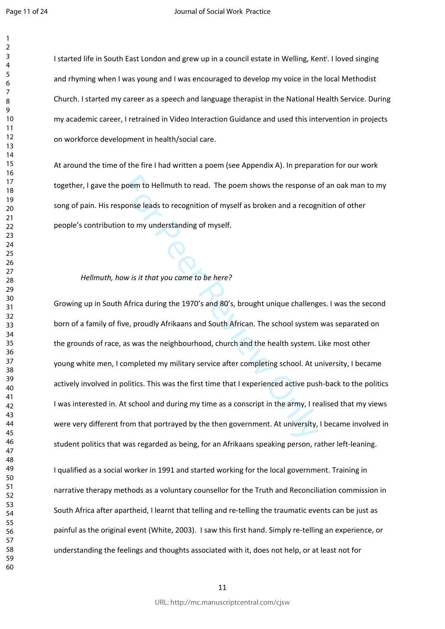$\mathbf{1}$  $\overline{2}$ 

I started life in South East London and grew up in a council estate in Welling, Kent<sup>i</sup>. I loved singing and rhyming when I was young and I was encouraged to develop my voice in the local Methodist Church. I started my career as a speech and language therapist in the National Health Service. During my academic career, I retrained in Video Interaction Guidance and used this intervention in projects on workforce development in health/social care.

At around the time of the fire I had written a poem (see Appendix A). In preparation for our work together, I gave the poem to Hellmuth to read. The poem shows the response of an oak man to my song of pain. His response leads to recognition of myself as broken and a recognition of other people's contribution to my understanding of myself.

# *Hellmuth, how is it that you came to be here?*

poem to Hellmuth to read. The poem shows the response<br>ponse leads to recognition of myself as broken and a recogn<br>n to my understanding of myself.<br>Note and a recogn<br>n to my understanding of myself.<br>Note:<br>Note:<br>Africa durin Growing up in South Africa during the 1970's and 80's, brought unique challenges. I was the second born of a family of five, proudly Afrikaans and South African. The school system was separated on the grounds of race, as was the neighbourhood, church and the health system. Like most other young white men, I completed my military service after completing school. At university, I became actively involved in politics. This was the first time that I experienced active push-back to the politics I was interested in. At school and during my time as a conscript in the army, I realised that my views were very different from that portrayed by the then government. At university, I became involved in student politics that was regarded as being, for an Afrikaans speaking person, rather left-leaning. I qualified as a social worker in 1991 and started working for the local government. Training in narrative therapy methods as a voluntary counsellor for the Truth and Reconciliation commission in South Africa after apartheid, I learnt that telling and re-telling the traumatic events can be just as painful as the original event (White, 2003). I saw this first hand. Simply re-telling an experience, or understanding the feelings and thoughts associated with it, does not help, or at least not for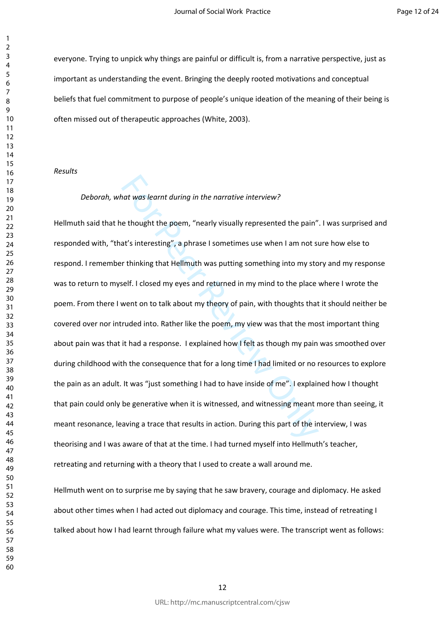everyone. Trying to unpick why things are painful or difficult is, from a narrative perspective, just as important as understanding the event. Bringing the deeply rooted motivations and conceptual beliefs that fuel commitment to purpose of people's unique ideation of the meaning of their being is often missed out of therapeutic approaches (White, 2003).

### *Results*

#### *Deborah, what was learnt during in the narrative interview?*

and was learnt during in the narrative interview?<br>
e thought the poem, "nearly visually represented the pain"<br>
at's interesting", a phrase I sometimes use when I am not si<br>
r thinking that Hellmuth was putting something in Hellmuth said that he thought the poem, "nearly visually represented the pain". I was surprised and responded with, "that's interesting", a phrase I sometimes use when I am not sure how else to respond. I remember thinking that Hellmuth was putting something into my story and my response was to return to myself. I closed my eyes and returned in my mind to the place where I wrote the poem. From there I went on to talk about my theory of pain, with thoughts that it should neither be covered over nor intruded into. Rather like the poem, my view was that the most important thing about pain was that it had a response. I explained how I felt as though my pain was smoothed over during childhood with the consequence that for a long time I had limited or no resources to explore the pain as an adult. It was "just something I had to have inside of me". I explained how I thought that pain could only be generative when it is witnessed, and witnessing meant more than seeing, it meant resonance, leaving a trace that results in action. During this part of the interview, I was theorising and I was aware of that at the time. I had turned myself into Hellmuth's teacher, retreating and returning with a theory that I used to create a wall around me.

Hellmuth went on to surprise me by saying that he saw bravery, courage and diplomacy. He asked about other times when I had acted out diplomacy and courage. This time, instead of retreating I talked about how I had learnt through failure what my values were. The transcript went as follows:

 $\mathbf{1}$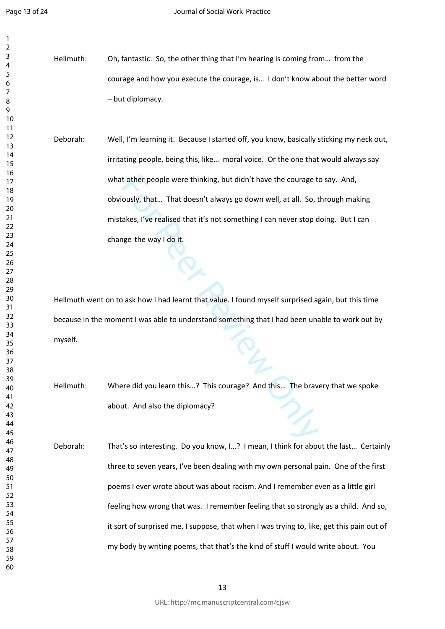$\mathbf{1}$  $\overline{2}$  $\overline{4}$  $\overline{7}$ 

Hellmuth: Oh, fantastic. So, the other thing that I'm hearing is coming from… from the courage and how you execute the courage, is… I don't know about the better word – but diplomacy.

t other people were thinking, but didn't have the courage t<br>ously, that... That doesn't always go down well, at all. So, t<br>akes, I've realised that it's not something I can never stop d<br>gge the way I do it.<br>orget the way I Deborah: Well, I'm learning it. Because I started off, you know, basically sticking my neck out, irritating people, being this, like… moral voice. Or the one that would always say what other people were thinking, but didn't have the courage to say. And, obviously, that… That doesn't always go down well, at all. So, through making mistakes, I've realised that it's not something I can never stop doing. But I can change the way I do it.

Hellmuth went on to ask how I had learnt that value. I found myself surprised again, but this time because in the moment I was able to understand something that I had been unable to work out by myself.

Hellmuth: Where did you learn this…? This courage? And this… The bravery that we spoke about. And also the diplomacy?

Deborah: That's so interesting. Do you know, I…? I mean, I think for about the last… Certainly three to seven years, I've been dealing with my own personal pain. One of the first poems I ever wrote about was about racism. And I remember even as a little girl feeling how wrong that was. I remember feeling that so strongly as a child. And so, it sort of surprised me, I suppose, that when I was trying to, like, get this pain out of my body by writing poems, that that's the kind of stuff I would write about. You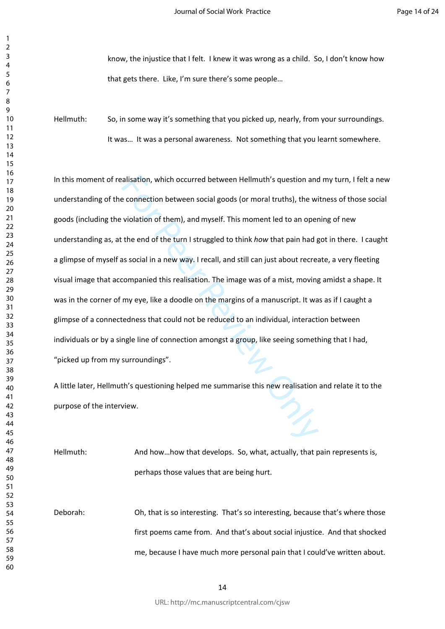know, the injustice that I felt. I knew it was wrong as a child. So, I don't know how that gets there. Like, I'm sure there's some people…

Hellmuth: So, in some way it's something that you picked up, nearly, from your surroundings. It was… It was a personal awareness. Not something that you learnt somewhere.

alisation, which occurred between Hellmuth's question and<br>e connection between social goods (or moral truths), the wi<br>violation of them), and myself. This moment led to an oper<br>the end of the turn I struggled to think how In this moment of realisation, which occurred between Hellmuth's question and my turn, I felt a new understanding of the connection between social goods (or moral truths), the witness of those social goods (including the violation of them), and myself. This moment led to an opening of new understanding as, at the end of the turn I struggled to think *how* that pain had got in there. I caught a glimpse of myself as social in a new way. I recall, and still can just about recreate, a very fleeting visual image that accompanied this realisation. The image was of a mist, moving amidst a shape. It was in the corner of my eye, like a doodle on the margins of a manuscript. It was as if I caught a glimpse of a connectedness that could not be reduced to an individual, interaction between individuals or by a single line of connection amongst a group, like seeing something that I had, "picked up from my surroundings".

A little later, Hellmuth's questioning helped me summarise this new realisation and relate it to the purpose of the interview.

Hellmuth: And how…how that develops. So, what, actually, that pain represents is, perhaps those values that are being hurt.

Deborah: Oh, that is so interesting. That's so interesting, because that's where those first poems came from. And that's about social injustice. And that shocked me, because I have much more personal pain that I could've written about.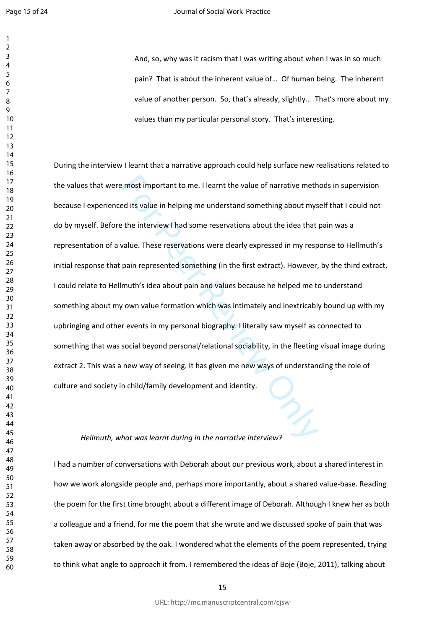#### Journal of Social Work Practice

And, so, why was it racism that I was writing about when I was in so much pain? That is about the inherent value of… Of human being. The inherent value of another person. So, that's already, slightly… That's more about my values than my particular personal story. That's interesting.

resort important to me. I learnt the value of narrative meth<br>For the distable in helping me understand something about myst<br>the interview I had some reservations about the idea that<br>value. These reservations were clearly e During the interview I learnt that a narrative approach could help surface new realisations related to the values that were most important to me. I learnt the value of narrative methods in supervision because I experienced its value in helping me understand something about myself that I could not do by myself. Before the interview I had some reservations about the idea that pain was a representation of a value. These reservations were clearly expressed in my response to Hellmuth's initial response that pain represented something (in the first extract). However, by the third extract, I could relate to Hellmuth's idea about pain and values because he helped me to understand something about my own value formation which was intimately and inextricably bound up with my upbringing and other events in my personal biography. I literally saw myself as connected to something that was social beyond personal/relational sociability, in the fleeting visual image during extract 2. This was a new way of seeing. It has given me new ways of understanding the role of culture and society in child/family development and identity.

### *Hellmuth, what was learnt during in the narrative interview?*

I had a number of conversations with Deborah about our previous work, about a shared interest in how we work alongside people and, perhaps more importantly, about a shared value-base. Reading the poem for the first time brought about a different image of Deborah. Although I knew her as both a colleague and a friend, for me the poem that she wrote and we discussed spoke of pain that was taken away or absorbed by the oak. I wondered what the elements of the poem represented, trying to think what angle to approach it from. I remembered the ideas of Boje (Boje, 2011), talking about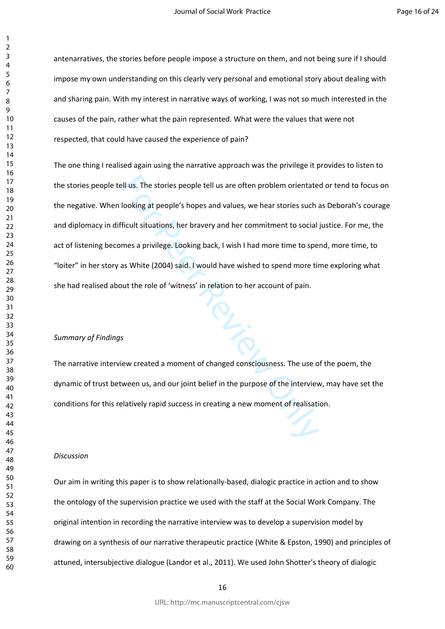antenarratives, the stories before people impose a structure on them, and not being sure if I should impose my own understanding on this clearly very personal and emotional story about dealing with and sharing pain. With my interest in narrative ways of working, I was not so much interested in the causes of the pain, rather what the pain represented. What were the values that were not respected, that could have caused the experience of pain?

relatively as The stories people tell us are often problem orientate<br>
Fortung at people's hopes and values, we hear stories such<br>
Ficult situations, her bravery and her commitment to social<br>
ficult situations, her bravery The one thing I realised again using the narrative approach was the privilege it provides to listen to the stories people tell us. The stories people tell us are often problem orientated or tend to focus on the negative. When looking at people's hopes and values, we hear stories such as Deborah's courage and diplomacy in difficult situations, her bravery and her commitment to social justice. For me, the act of listening becomes a privilege. Looking back, I wish I had more time to spend, more time, to "loiter" in her story as White (2004) said. I would have wished to spend more time exploring what she had realised about the role of 'witness' in relation to her account of pain.

### *Summary of Findings*

The narrative interview created a moment of changed consciousness. The use of the poem, the dynamic of trust between us, and our joint belief in the purpose of the interview, may have set the conditions for this relatively rapid success in creating a new moment of realisation.

#### *Discussion*

Our aim in writing this paper is to show relationally-based, dialogic practice in action and to show the ontology of the supervision practice we used with the staff at the Social Work Company. The original intention in recording the narrative interview was to develop a supervision model by drawing on a synthesis of our narrative therapeutic practice (White & Epston, 1990) and principles of attuned, intersubjective dialogue (Landor et al., 2011). We used John Shotter's theory of dialogic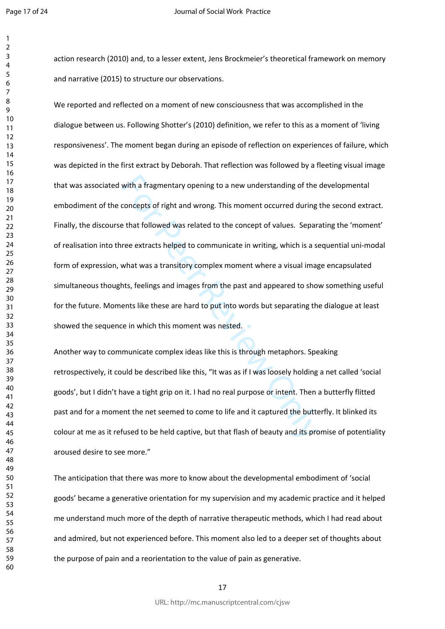action research (2010) and, to a lesser extent, Jens Brockmeier's theoretical framework on memory and narrative (2015) to structure our observations.

with a fragmentary opening to a new understanding of the<br>concepts of right and wrong. This moment occurred during<br>e that followed was related to the concept of values. Separ<br>ree extracts helped to communicate in writing, w We reported and reflected on a moment of new consciousness that was accomplished in the dialogue between us. Following Shotter's (2010) definition, we refer to this as a moment of 'living responsiveness'. The moment began during an episode of reflection on experiences of failure, which was depicted in the first extract by Deborah. That reflection was followed by a fleeting visual image that was associated with a fragmentary opening to a new understanding of the developmental embodiment of the concepts of right and wrong. This moment occurred during the second extract. Finally, the discourse that followed was related to the concept of values. Separating the 'moment' of realisation into three extracts helped to communicate in writing, which is a sequential uni-modal form of expression, what was a transitory complex moment where a visual image encapsulated simultaneous thoughts, feelings and images from the past and appeared to show something useful for the future. Moments like these are hard to put into words but separating the dialogue at least showed the sequence in which this moment was nested.

Another way to communicate complex ideas like this is through metaphors. Speaking retrospectively, it could be described like this, "It was as if I was loosely holding a net called 'social goods', but I didn't have a tight grip on it. I had no real purpose or intent. Then a butterfly flitted past and for a moment the net seemed to come to life and it captured the butterfly. It blinked its colour at me as it refused to be held captive, but that flash of beauty and its promise of potentiality aroused desire to see more."

The anticipation that there was more to know about the developmental embodiment of 'social goods' became a generative orientation for my supervision and my academic practice and it helped me understand much more of the depth of narrative therapeutic methods, which I had read about and admired, but not experienced before. This moment also led to a deeper set of thoughts about the purpose of pain and a reorientation to the value of pain as generative.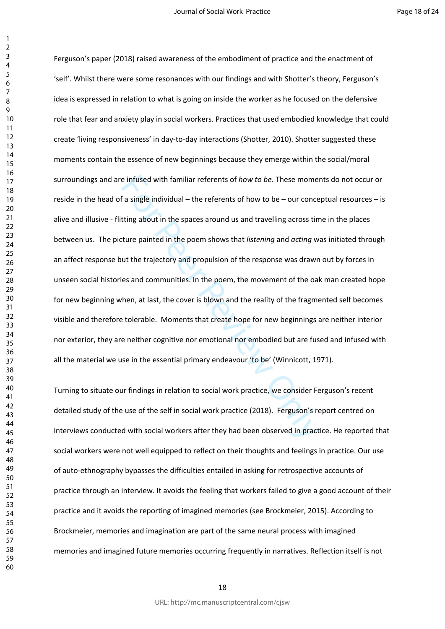$\mathbf{1}$  $\overline{2}$ 

e infused with familiar referents of *how to be*. These mome<br>f a single individual – the referents of how to be – our conce<br>tting about in the spaces around us and travelling across tin<br>ture painted in the poem shows that Ferguson's paper (2018) raised awareness of the embodiment of practice and the enactment of 'self'. Whilst there were some resonances with our findings and with Shotter's theory, Ferguson's idea is expressed in relation to what is going on inside the worker as he focused on the defensive role that fear and anxiety play in social workers. Practices that used embodied knowledge that could create 'living responsiveness' in day-to-day interactions (Shotter, 2010). Shotter suggested these moments contain the essence of new beginnings because they emerge within the social/moral surroundings and are infused with familiar referents of *how to be*. These moments do not occur or reside in the head of a single individual – the referents of how to be – our conceptual resources – is alive and illusive - flitting about in the spaces around us and travelling across time in the places between us. The picture painted in the poem shows that *listening* and *acting* was initiated through an affect response but the trajectory and propulsion of the response was drawn out by forces in unseen social histories and communities. In the poem, the movement of the oak man created hope for new beginning when, at last, the cover is blown and the reality of the fragmented self becomes visible and therefore tolerable. Moments that create hope for new beginnings are neither interior nor exterior, they are neither cognitive nor emotional nor embodied but are fused and infused with all the material we use in the essential primary endeavour 'to be' (Winnicott, 1971).

Turning to situate our findings in relation to social work practice, we consider Ferguson's recent detailed study of the use of the self in social work practice (2018). Ferguson's report centred on interviews conducted with social workers after they had been observed in practice. He reported that social workers were not well equipped to reflect on their thoughts and feelings in practice. Our use of auto-ethnography bypasses the difficulties entailed in asking for retrospective accounts of practice through an interview. It avoids the feeling that workers failed to give a good account of their practice and it avoids the reporting of imagined memories (see Brockmeier, 2015). According to Brockmeier, memories and imagination are part of the same neural process with imagined memories and imagined future memories occurring frequently in narratives. Reflection itself is not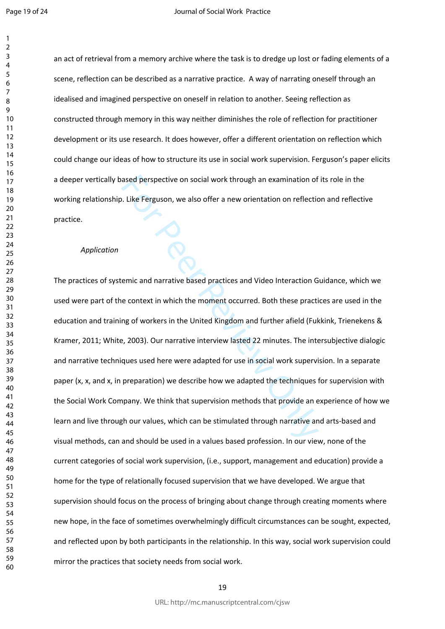$\mathbf{1}$  $\overline{2}$ 

an act of retrieval from a memory archive where the task is to dredge up lost or fading elements of a scene, reflection can be described as a narrative practice. A way of narrating oneself through an idealised and imagined perspective on oneself in relation to another. Seeing reflection as constructed through memory in this way neither diminishes the role of reflection for practitioner development or its use research. It does however, offer a different orientation on reflection which could change our ideas of how to structure its use in social work supervision. Ferguson's paper elicits a deeper vertically based perspective on social work through an examination of its role in the working relationship. Like Ferguson, we also offer a new orientation on reflection and reflective practice.

## *Application*

ased perspective on social work through an examination of<br>
1. Like Ferguson, we also offer a new orientation on reflectic<br>
1. Like Ferguson, we also offer a new orientation on reflectic<br>
1. Like Ferguson, we also offer a n The practices of systemic and narrative based practices and Video Interaction Guidance, which we used were part of the context in which the moment occurred. Both these practices are used in the education and training of workers in the United Kingdom and further afield (Fukkink, Trienekens & Kramer, 2011; White, 2003). Our narrative interview lasted 22 minutes. The intersubjective dialogic and narrative techniques used here were adapted for use in social work supervision. In a separate paper (x, x, and x, in preparation) we describe how we adapted the techniques for supervision with the Social Work Company. We think that supervision methods that provide an experience of how we learn and live through our values, which can be stimulated through narrative and arts-based and visual methods, can and should be used in a values based profession. In our view, none of the current categories of social work supervision, (i.e., support, management and education) provide a home for the type of relationally focused supervision that we have developed. We argue that supervision should focus on the process of bringing about change through creating moments where new hope, in the face of sometimes overwhelmingly difficult circumstances can be sought, expected, and reflected upon by both participants in the relationship. In this way, social work supervision could mirror the practices that society needs from social work.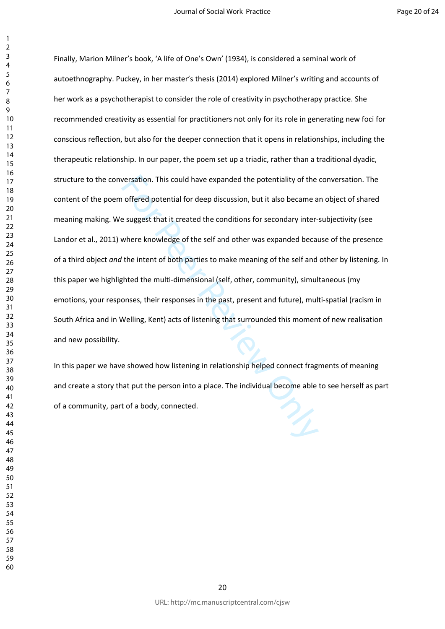restation. This could have expanded the potentiality of the<br>a offered potential for deep discussion, but it also became a<br>e suggest that it created the conditions for secondary inter-<br>where knowledge of the self and other Finally, Marion Milner's book, 'A life of One's Own' (1934), is considered a seminal work of autoethnography. Puckey, in her master's thesis (2014) explored Milner's writing and accounts of her work as a psychotherapist to consider the role of creativity in psychotherapy practice. She recommended creativity as essential for practitioners not only for its role in generating new foci for conscious reflection, but also for the deeper connection that it opens in relationships, including the therapeutic relationship. In our paper, the poem set up a triadic, rather than a traditional dyadic, structure to the conversation. This could have expanded the potentiality of the conversation. The content of the poem offered potential for deep discussion, but it also became an object of shared meaning making. We suggest that it created the conditions for secondary inter-subjectivity (see Landor et al., 2011) where knowledge of the self and other was expanded because of the presence of a third object *and* the intent of both parties to make meaning of the self and other by listening. In this paper we highlighted the multi-dimensional (self, other, community), simultaneous (my emotions, your responses, their responses in the past, present and future), multi-spatial (racism in South Africa and in Welling, Kent) acts of listening that surrounded this moment of new realisation and new possibility.

In this paper we have showed how listening in relationship helped connect fragments of meaning and create a story that put the person into a place. The individual become able to see herself as part of a community, part of a body, connected.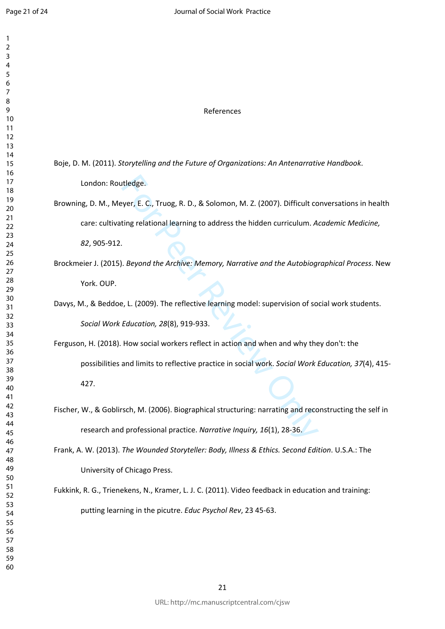| 1<br>$\overline{c}$<br>3<br>4<br>5<br>6<br>7<br>8<br>9<br>10<br>11<br>12<br>13<br>14<br>15<br>16<br>17<br>18<br>19<br>20<br>$\overline{21}$<br>$\overline{22}$<br>23<br>24<br>25<br>26<br>27<br>28<br>29<br>30<br>31<br>32<br>33<br>34<br>35<br>36<br>37<br>R۶<br>39 |  |
|----------------------------------------------------------------------------------------------------------------------------------------------------------------------------------------------------------------------------------------------------------------------|--|
| 40<br>41<br>42<br>43<br>44<br>45<br>46<br>47<br>48<br>49                                                                                                                                                                                                             |  |
| 50<br>51<br>52<br>53<br>54<br>55<br>56<br>57<br>58<br>59<br>60                                                                                                                                                                                                       |  |

| References                                                                                              |
|---------------------------------------------------------------------------------------------------------|
|                                                                                                         |
| Boje, D. M. (2011). Storytelling and the Future of Organizations: An Antenarrative Handbook.            |
| London: Routledge.                                                                                      |
| Browning, D. M., Meyer, E. C., Truog, R. D., & Solomon, M. Z. (2007). Difficult conversations in health |
| care: cultivating relational learning to address the hidden curriculum. Academic Medicine,              |
| 82, 905-912.                                                                                            |
| Brockmeier J. (2015). Beyond the Archive: Memory, Narrative and the Autobiographical Process. New       |
| York. OUP.                                                                                              |
| Davys, M., & Beddoe, L. (2009). The reflective learning model: supervision of social work students.     |
| Social Work Education, 28(8), 919-933.                                                                  |
| Ferguson, H. (2018). How social workers reflect in action and when and why they don't: the              |
| possibilities and limits to reflective practice in social work. Social Work Education, 37(4), 415-      |
| 427.                                                                                                    |
| Fischer, W., & Goblirsch, M. (2006). Biographical structuring: narrating and reconstructing the self in |
| research and professional practice. Narrative Inquiry, 16(1), 28-36.                                    |
| Frank, A. W. (2013). The Wounded Storyteller: Body, Illness & Ethics. Second Edition. U.S.A.: The       |
| University of Chicago Press.                                                                            |
| Fukkink, R. G., Trienekens, N., Kramer, L. J. C. (2011). Video feedback in education and training:      |
| putting learning in the picutre. Educ Psychol Rev, 23 45-63.                                            |
|                                                                                                         |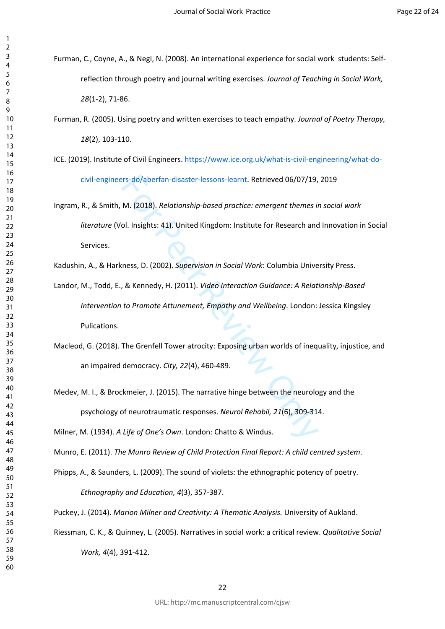- Furman, C., Coyne, A., & Negi, N. (2008). An international experience for social work students: Selfreflection through poetry and journal writing exercises. *Journal of Teaching in Social Work,*  (1-2), 71-86.
- Furman, R. (2005). Using poetry and written exercises to teach empathy. *Journal of Poetry Therapy,*  (2), 103-110.
- ICE. (2019). Institute of Civil Engineers. [https://www.ice.org.uk/what-is-civil-engineering/what-do](https://www.ice.org.uk/what-is-civil-engineering/what-do-%09civil-engineers-do/aberfan-disaster-lessons-learnt)[civil-engineers-do/aberfan-disaster-lessons-learnt.](https://www.ice.org.uk/what-is-civil-engineering/what-do-%09civil-engineers-do/aberfan-disaster-lessons-learnt) Retrieved 06/07/19, 2019
- rs-do/aberfan-disaster-lessons-learnt. Retrieved 06/07/19,<br>M. (2018). *Relationship-based practice: emergent themes in*<br>ol. Insights: 41). United Kingdom: Institute for Research and<br>ness, D. (2002). *Supervision in Social* Ingram, R., & Smith, M. (2018). *Relationship-based practice: emergent themes in social work literature* (Vol. Insights: 41). United Kingdom: Institute for Research and Innovation in Social Services.
- Kadushin, A., & Harkness, D. (2002). *Supervision in Social Work*: Columbia University Press.
- Landor, M., Todd, E., & Kennedy, H. (2011). *Video Interaction Guidance: A Relationship-Based Intervention to Promote Attunement, Empathy and Wellbeing*. London: Jessica Kingsley Pulications.
- Macleod, G. (2018). The Grenfell Tower atrocity: Exposing urban worlds of inequality, injustice, and an impaired democracy. *City, 22*(4), 460-489.
- Medev, M. I., & Brockmeier, J. (2015). The narrative hinge between the neurology and the psychology of neurotraumatic responses. *Neurol Rehabil, 21*(6), 309-314.

Milner, M. (1934). *A Life of One's Own*. London: Chatto & Windus.

- Munro, E. (2011). *The Munro Review of Child Protection Final Report: A child centred system* .
- Phipps, A., & Saunders, L. (2009). The sound of violets: the ethnographic potency of poetry. *Ethnography and Education, 4*(3), 357-387.

Puckey, J. (2014). *Marion Milner and Creativity: A Thematic Analysis.* University of Aukland.

Riessman, C. K., & Quinney, L. (2005). Narratives in social work: a critical review. *Qualitative Social* 

*Work, 4*(4), 391-412.

 $\mathbf{1}$  $\overline{2}$  $\overline{4}$  $\overline{7}$  $\mathsf{Q}$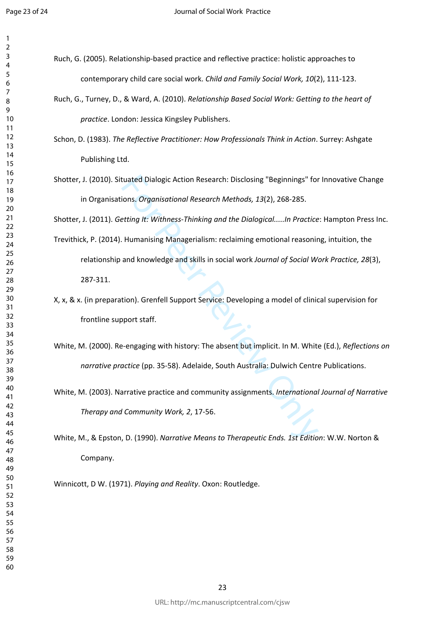$\mathbf{1}$  $\overline{2}$ 

- Ruch, G. (2005). Relationship-based practice and reflective practice: holistic approaches to contemporary child care social work. *Child and Family Social Work, 10*(2), 111-123.
- Ruch, G., Turney, D., & Ward, A. (2010). *Relationship Based Social Work: Getting to the heart of practice*. London: Jessica Kingsley Publishers.
- Schon, D. (1983). *The Reflective Practitioner: How Professionals Think in Action*. Surrey: Ashgate Publishing Ltd.
- Shotter, J. (2010). Situated Dialogic Action Research: Disclosing "Beginnings" for Innovative Change in Organisations. *Organisational Research Methods, 13*(2), 268-285.

Shotter, J. (2011). *Getting It: Withness-Thinking and the Dialogical.....In Practice*: Hampton Press Inc.

- tuated Dialogic Action Research: Disclosing "Beginnings" for<br>
ions. *Organisational Research Methods, 13*(2), 268-285.<br> *Etting It: Withness-Thinking and the Dialogical.....In Practice*<br>
Humanising Managerialism: reclaimin Trevithick, P. (2014). Humanising Managerialism: reclaiming emotional reasoning, intuition, the relationship and knowledge and skills in social work *Journal of Social Work Practice, 28*(3), 287-311.
- X, x, & x. (in preparation). Grenfell Support Service: Developing a model of clinical supervision for frontline support staff.
- White, M. (2000). Re-engaging with history: The absent but implicit. In M. White (Ed.), *Reflections on narrative practice* (pp. 35-58). Adelaide, South Australia: Dulwich Centre Publications.
- White, M. (2003). Narrative practice and community assignments. *International Journal of Narrative Therapy and Community Work, 2*, 17-56.

White, M., & Epston, D. (1990). *Narrative Means to Therapeutic Ends. 1st Edition*: W.W. Norton & Company.

Winnicott, D W. (1971). *Playing and Reality*. Oxon: Routledge.